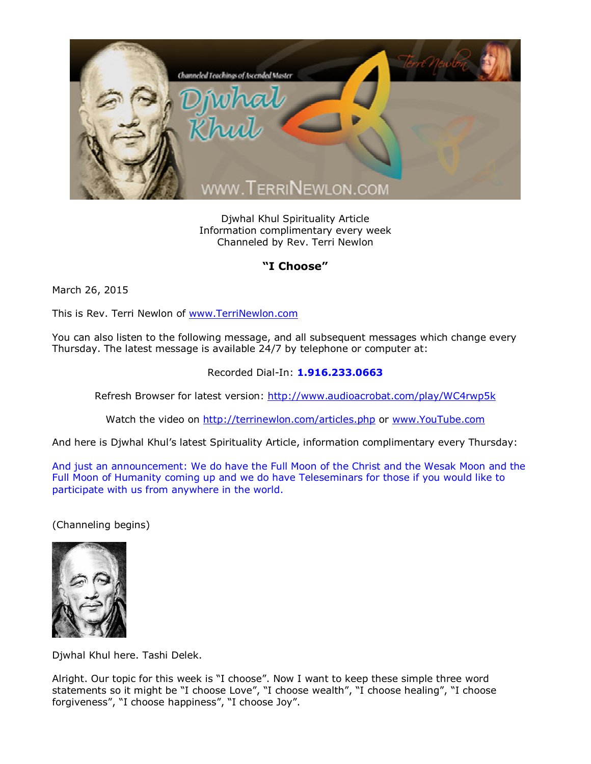

Djwhal Khul Spirituality Article Information complimentary every week Channeled by Rev. Terri Newlon

## **"I Choose"**

March 26, 2015

This is Rev. Terri Newlon of [www.TerriNewlon.com](http://www.terrinewlon.com/)

You can also listen to the following message, and all subsequent messages which change every Thursday. The latest message is available 24/7 by telephone or computer at:

## Recorded Dial-In: **1.916.233.0663**

Refresh Browser for latest version: <http://www.audioacrobat.com/play/WC4rwp5k>

Watch the video on <http://terrinewlon.com/articles.php> or [www.YouTube.com](http://www.youtube.com/)

And here is Djwhal Khul's latest Spirituality Article, information complimentary every Thursday:

And just an announcement: We do have the Full Moon of the Christ and the Wesak Moon and the Full Moon of Humanity coming up and we do have Teleseminars for those if you would like to participate with us from anywhere in the world.

(Channeling begins)



Djwhal Khul here. Tashi Delek.

Alright. Our topic for this week is "I choose". Now I want to keep these simple three word statements so it might be "I choose Love", "I choose wealth", "I choose healing", "I choose forgiveness", "I choose happiness", "I choose Joy".